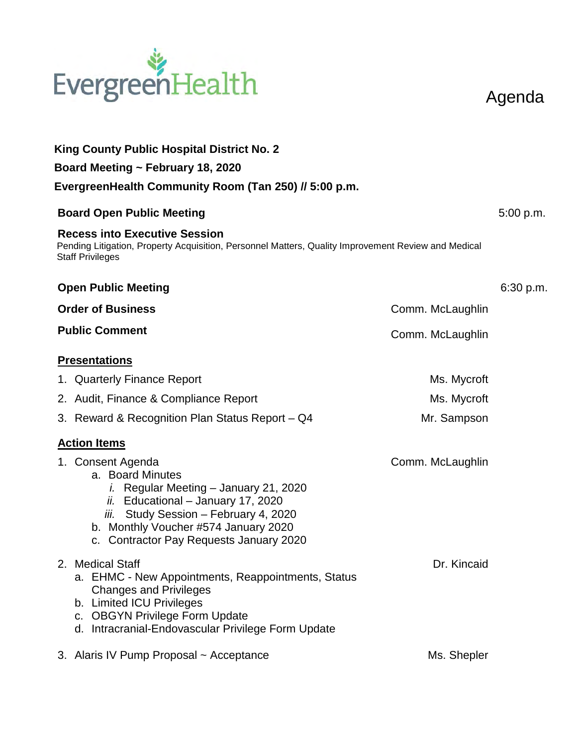

**King County Public Hospital District No. 2 Board Meeting ~ February 18, 2020 EvergreenHealth Community Room (Tan 250) // 5:00 p.m. Board Open Public Meeting 6.6 and 5:00 p.m.** 5:00 p.m. **Recess into Executive Session** Pending Litigation, Property Acquisition, Personnel Matters, Quality Improvement Review and Medical Staff Privileges **Open Public Meeting 6:30 p.m.** 6:30 p.m. **Order of Business** Comm. McLaughlin **Public Comment Comment Comment Comment Comment Comment Comment Comment Presentations**  1. Quarterly Finance Report **Ms.** Mycroft 2. Audit, Finance & Compliance Report Ms. Mycroft 3. Reward & Recognition Plan Status Report – Q4 Mr. Sampson **Action Items** 1. Consent Agenda a. Board Minutes *i.* Regular Meeting – January 21, 2020 *ii.* Educational – January 17, 2020 *iii.* Study Session – February 4, 2020 b. Monthly Voucher #574 January 2020 c. Contractor Pay Requests January 2020 Comm. McLaughlin 2. Medical Staff a. EHMC - New Appointments, Reappointments, Status Changes and Privileges b. Limited ICU Privileges c. OBGYN Privilege Form Update d. Intracranial-Endovascular Privilege Form Update Dr. Kincaid 3. Alaris IV Pump Proposal ~ Acceptance Ms. Shepler

Agenda